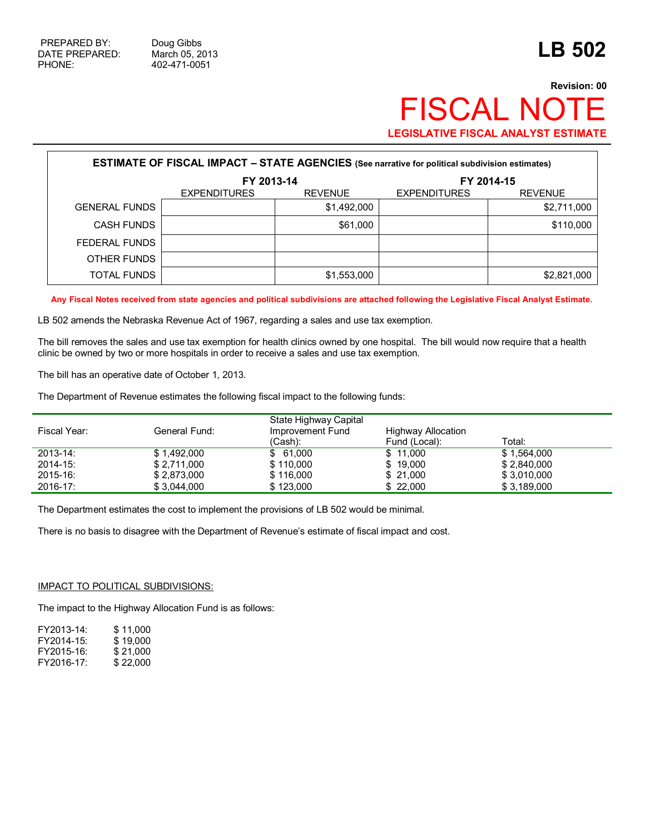## **Revision: 00 FISCAL NOT LEGISLATIVE FISCAL ANALYST ESTIMATE**

| <b>ESTIMATE OF FISCAL IMPACT - STATE AGENCIES</b> (See narrative for political subdivision estimates) |                     |                |                     |                |  |  |  |  |
|-------------------------------------------------------------------------------------------------------|---------------------|----------------|---------------------|----------------|--|--|--|--|
|                                                                                                       | FY 2013-14          |                | FY 2014-15          |                |  |  |  |  |
|                                                                                                       | <b>EXPENDITURES</b> | <b>REVENUE</b> | <b>EXPENDITURES</b> | <b>REVENUE</b> |  |  |  |  |
| <b>GENERAL FUNDS</b>                                                                                  |                     | \$1,492,000    |                     | \$2,711,000    |  |  |  |  |
| <b>CASH FUNDS</b>                                                                                     |                     | \$61,000       |                     | \$110,000      |  |  |  |  |
| FEDERAL FUNDS                                                                                         |                     |                |                     |                |  |  |  |  |
| OTHER FUNDS                                                                                           |                     |                |                     |                |  |  |  |  |
| <b>TOTAL FUNDS</b>                                                                                    |                     | \$1,553,000    |                     | \$2,821,000    |  |  |  |  |

**Any Fiscal Notes received from state agencies and political subdivisions are attached following the Legislative Fiscal Analyst Estimate.** 

LB 502 amends the Nebraska Revenue Act of 1967, regarding a sales and use tax exemption.

The bill removes the sales and use tax exemption for health clinics owned by one hospital. The bill would now require that a health clinic be owned by two or more hospitals in order to receive a sales and use tax exemption.

The bill has an operative date of October 1, 2013.

The Department of Revenue estimates the following fiscal impact to the following funds:

| Fiscal Year:  | General Fund: | State Highway Capital<br>Improvement Fund<br>(Cash): | <b>Highway Allocation</b><br>Fund (Local): | Total:      |
|---------------|---------------|------------------------------------------------------|--------------------------------------------|-------------|
| 2013-14:      | \$1.492.000   | \$61.000                                             | \$11.000                                   | \$1.564.000 |
| $2014 - 15$ : | \$2.711.000   | \$110,000                                            | \$19,000                                   | \$2.840.000 |
| 2015-16:      | \$2.873.000   | \$116,000                                            | \$21.000                                   | \$3.010.000 |
| $2016 - 17$ : | \$3.044.000   | \$123,000                                            | \$22.000                                   | \$3,189,000 |

The Department estimates the cost to implement the provisions of LB 502 would be minimal.

There is no basis to disagree with the Department of Revenue's estimate of fiscal impact and cost.

## IMPACT TO POLITICAL SUBDIVISIONS:

The impact to the Highway Allocation Fund is as follows:

| \$11.000 |
|----------|
| \$19,000 |
| \$21.000 |
| \$22,000 |
|          |